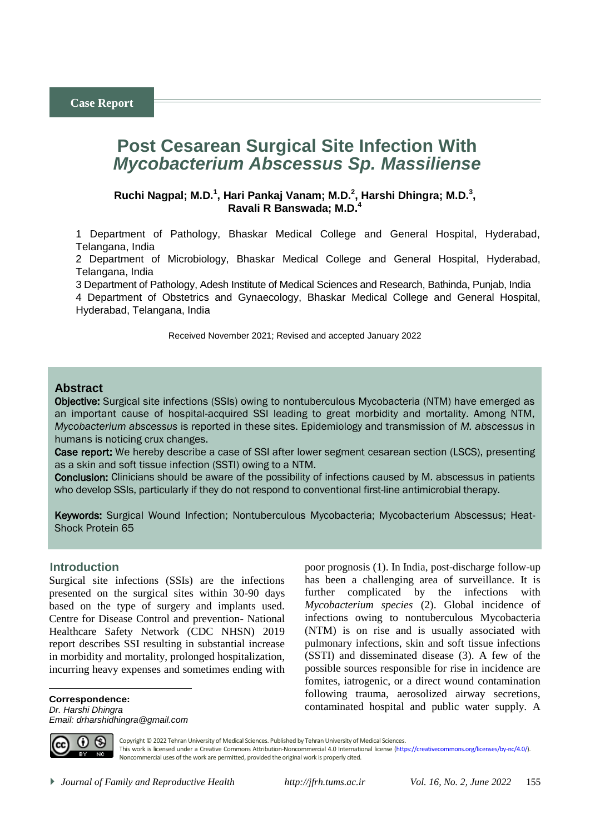# **Post Cesarean Surgical Site Infection With**  *Mycobacterium Abscessus Sp. Massiliense*

### Ruchi Nagpal; M.D.<sup>1</sup>, Hari Pankaj Vanam; M.D.<sup>2</sup>, Harshi Dhingra; M.D.<sup>3</sup>, **Ravali R Banswada; M.D.<sup>4</sup>**

1 Department of Pathology, Bhaskar Medical College and General Hospital, Hyderabad, Telangana, India

2 Department of Microbiology, Bhaskar Medical College and General Hospital, Hyderabad, Telangana, India

3 Department of Pathology, Adesh Institute of Medical Sciences and Research, Bathinda, Punjab, India 4 Department of Obstetrics and Gynaecology, Bhaskar Medical College and General Hospital, Hyderabad, Telangana, India

Received November 2021; Revised and accepted January 2022

### **Abstract**

Objective: Surgical site infections (SSIs) owing to nontuberculous Mycobacteria (NTM) have emerged as an important cause of hospital-acquired SSI leading to great morbidity and mortality. Among NTM, *Mycobacterium abscessus* is reported in these sites. Epidemiology and transmission of *M. abscessus* in humans is noticing crux changes.

Case report: We hereby describe a case of SSI after lower segment cesarean section (LSCS), presenting as a skin and soft tissue infection (SSTI) owing to a NTM.

Conclusion: Clinicians should be aware of the possibility of infections caused by M. abscessus in patients who develop SSIs, particularly if they do not respond to conventional first-line antimicrobial therapy.

Keywords: Surgical Wound Infection; Nontuberculous Mycobacteria; Mycobacterium Abscessus; Heat-Shock Protein 65

### <sup>1</sup>**Introduction**

Surgical site infections (SSIs) are the infections presented on the surgical sites within 30-90 days based on the type of surgery and implants used. Centre for Disease Control and prevention- National Healthcare Safety Network (CDC NHSN) 2019 report describes SSI resulting in substantial increase in morbidity and mortality, prolonged hospitalization, incurring heavy expenses and sometimes ending with

**Correspondence:** *Dr. Harshi Dhingra Email: drharshidhingra@gmail.com* poor prognosis (1). In India, post-discharge follow-up has been a challenging area of surveillance. It is further complicated by the infections with *Mycobacterium species* (2). Global incidence of infections owing to nontuberculous Mycobacteria (NTM) is on rise and is usually associated with pulmonary infections, skin and soft tissue infections (SSTI) and disseminated disease (3). A few of the possible sources responsible for rise in incidence are fomites, iatrogenic, or a direct wound contamination following trauma, aerosolized airway secretions, contaminated hospital and public water supply. A



 $\overline{a}$ 

Copyright © 2022 Tehran University of Medical Sciences. Published by Tehran University of Medical Sciences. This work is licensed under a Creative Commons Attribution-Noncommercial 4.0 International license [\(https://creativecommons.org/licenses/by-nc/4.0/\)](https://creativecommons.org/licenses/by-nc/4.0/). Noncommercial uses of the work are permitted, provided the original work is properly cited.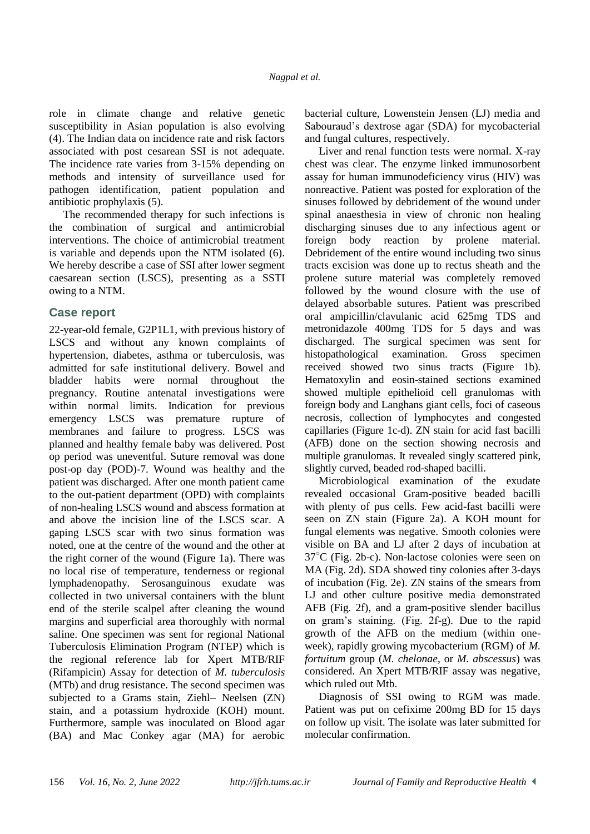role in climate change and relative genetic susceptibility in Asian population is also evolving (4). The Indian data on incidence rate and risk factors associated with post cesarean SSI is not adequate. The incidence rate varies from 3-15% depending on methods and intensity of surveillance used for pathogen identification, patient population and antibiotic prophylaxis (5).

The recommended therapy for such infections is the combination of surgical and antimicrobial interventions. The choice of antimicrobial treatment is variable and depends upon the NTM isolated (6). We hereby describe a case of SSI after lower segment caesarean section (LSCS), presenting as a SSTI owing to a NTM.

### **Case report**

22-year-old female, G2P1L1, with previous history of LSCS and without any known complaints of hypertension, diabetes, asthma or tuberculosis, was admitted for safe institutional delivery. Bowel and bladder habits were normal throughout the pregnancy. Routine antenatal investigations were within normal limits. Indication for previous emergency LSCS was premature rupture of membranes and failure to progress. LSCS was planned and healthy female baby was delivered. Post op period was uneventful. Suture removal was done post-op day (POD)-7. Wound was healthy and the patient was discharged. After one month patient came to the out-patient department (OPD) with complaints of non-healing LSCS wound and abscess formation at and above the incision line of the LSCS scar. A gaping LSCS scar with two sinus formation was noted, one at the centre of the wound and the other at the right corner of the wound (Figure 1a). There was no local rise of temperature, tenderness or regional lymphadenopathy. Serosanguinous exudate was collected in two universal containers with the blunt end of the sterile scalpel after cleaning the wound margins and superficial area thoroughly with normal saline. One specimen was sent for regional National Tuberculosis Elimination Program (NTEP) which is the regional reference lab for Xpert MTB/RIF (Rifampicin) Assay for detection of *M. tuberculosis* (MTb) and drug resistance. The second specimen was subjected to a Grams stain, Ziehl– Neelsen (ZN) stain, and a potassium hydroxide (KOH) mount. Furthermore, sample was inoculated on Blood agar (BA) and Mac Conkey agar (MA) for aerobic

bacterial culture, Lowenstein Jensen (LJ) media and Sabouraud's dextrose agar (SDA) for mycobacterial and fungal cultures, respectively.

Liver and renal function tests were normal. X-ray chest was clear. The enzyme linked immunosorbent assay for human immunodeficiency virus (HIV) was nonreactive. Patient was posted for exploration of the sinuses followed by debridement of the wound under spinal anaesthesia in view of chronic non healing discharging sinuses due to any infectious agent or foreign body reaction by prolene material. Debridement of the entire wound including two sinus tracts excision was done up to rectus sheath and the prolene suture material was completely removed followed by the wound closure with the use of delayed absorbable sutures. Patient was prescribed oral ampicillin/clavulanic acid 625mg TDS and metronidazole 400mg TDS for 5 days and was discharged. The surgical specimen was sent for histopathological examination. Gross specimen received showed two sinus tracts (Figure 1b). Hematoxylin and eosin-stained sections examined showed multiple epithelioid cell granulomas with foreign body and Langhans giant cells, foci of caseous necrosis, collection of lymphocytes and congested capillaries (Figure 1c-d). ZN stain for acid fast bacilli (AFB) done on the section showing necrosis and multiple granulomas. It revealed singly scattered pink, slightly curved, beaded rod-shaped bacilli.

Microbiological examination of the exudate revealed occasional Gram-positive beaded bacilli with plenty of pus cells. Few acid-fast bacilli were seen on ZN stain (Figure 2a). A KOH mount for fungal elements was negative. Smooth colonies were visible on BA and LJ after 2 days of incubation at  $37^{\circ}$ C (Fig. 2b-c). Non-lactose colonies were seen on MA (Fig. 2d). SDA showed tiny colonies after 3-days of incubation (Fig. 2e). ZN stains of the smears from LJ and other culture positive media demonstrated AFB (Fig. 2f), and a gram-positive slender bacillus on gram's staining. (Fig. 2f-g). Due to the rapid growth of the AFB on the medium (within oneweek), rapidly growing mycobacterium (RGM) of *M. fortuitum* group (*M. chelonae*, or *M. abscessus*) was considered. An Xpert MTB/RIF assay was negative, which ruled out Mtb.

Diagnosis of SSI owing to RGM was made. Patient was put on cefixime 200mg BD for 15 days on follow up visit. The isolate was later submitted for molecular confirmation.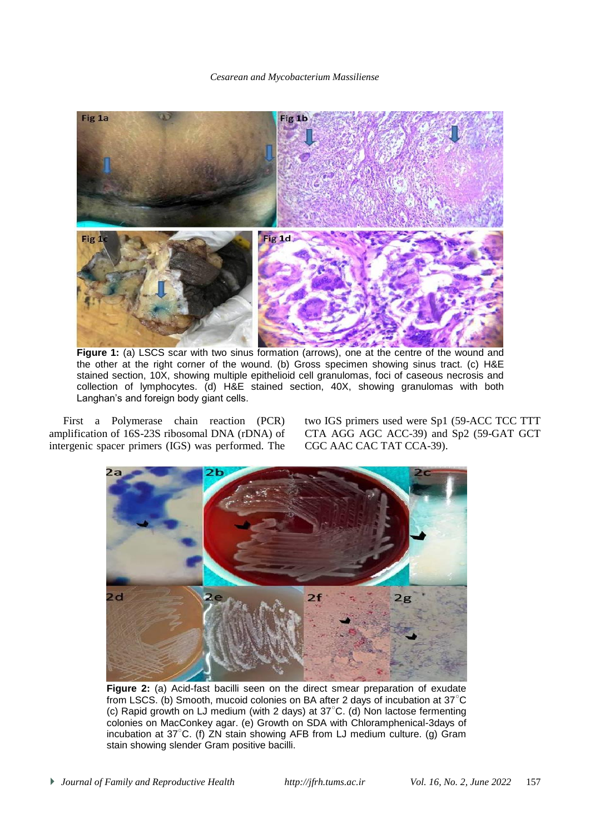#### *Cesarean and Mycobacterium Massiliense*



**Figure 1:** (a) LSCS scar with two sinus formation (arrows), one at the centre of the wound and the other at the right corner of the wound. (b) Gross specimen showing sinus tract. (c) H&E stained section, 10X, showing multiple epithelioid cell granulomas, foci of caseous necrosis and collection of lymphocytes. (d) H&E stained section, 40X, showing granulomas with both Langhan's and foreign body giant cells.

First a Polymerase chain reaction (PCR) amplification of 16S-23S ribosomal DNA (rDNA) of intergenic spacer primers (IGS) was performed. The two IGS primers used were Sp1 (59-ACC TCC TTT CTA AGG AGC ACC-39) and Sp2 (59-GAT GCT CGC AAC CAC TAT CCA-39).



**Figure 2:** (a) Acid-fast bacilli seen on the direct smear preparation of exudate from LSCS. (b) Smooth, mucoid colonies on BA after 2 days of incubation at 37○C (c) Rapid growth on LJ medium (with 2 days) at 37○C. (d) Non lactose fermenting colonies on MacConkey agar. (e) Growth on SDA with Chloramphenical-3days of incubation at 37○C. (f) ZN stain showing AFB from LJ medium culture. (g) Gram stain showing slender Gram positive bacilli.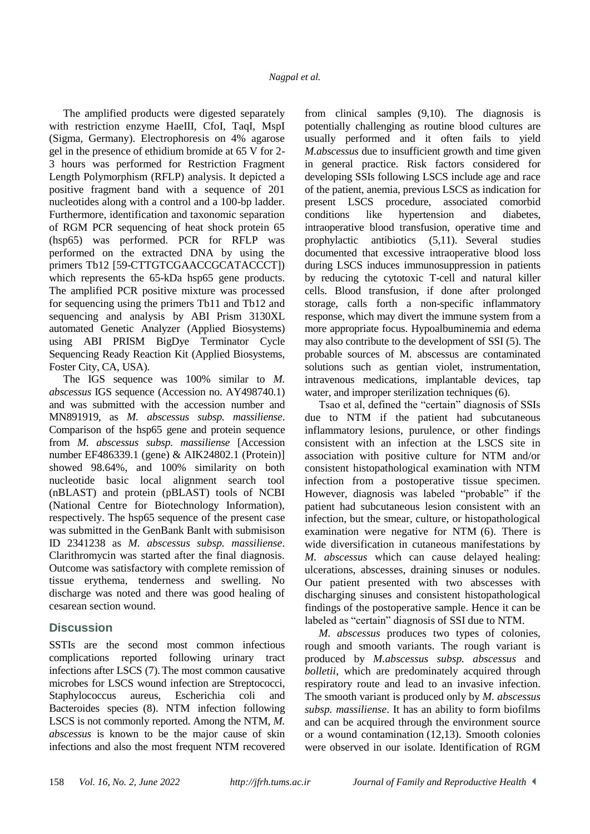The amplified products were digested separately with restriction enzyme HaeIII, CfoI, TaqI, MspI (Sigma, Germany). Electrophoresis on 4% agarose gel in the presence of ethidium bromide at 65 V for 2- 3 hours was performed for Restriction Fragment Length Polymorphism (RFLP) analysis. It depicted a positive fragment band with a sequence of 201 nucleotides along with a control and a 100-bp ladder. Furthermore, identification and taxonomic separation of RGM PCR sequencing of heat shock protein 65 (hsp65) was performed. PCR for RFLP was performed on the extracted DNA by using the primers Tb12 [59-CTTGTCGAACCGCATACCCT]) which represents the 65-kDa hsp65 gene products. The amplified PCR positive mixture was processed for sequencing using the primers Tb11 and Tb12 and sequencing and analysis by ABI Prism 3130XL automated Genetic Analyzer (Applied Biosystems) using ABI PRISM BigDye Terminator Cycle Sequencing Ready Reaction Kit (Applied Biosystems, Foster City, CA, USA).

The IGS sequence was 100% similar to *M. abscessus* IGS sequence (Accession no. AY498740.1) and was submitted with the accession number and MN891919, as *M. abscessus subsp. massiliense*. Comparison of the hsp65 gene and protein sequence from *M. abscessus subsp. massiliense* [Accession number EF486339.1 (gene) & AIK24802.1 (Protein)] showed 98.64%, and 100% similarity on both nucleotide basic local alignment search tool (nBLAST) and protein (pBLAST) tools of NCBI (National Centre for Biotechnology Information), respectively. The hsp65 sequence of the present case was submitted in the GenBank Banlt with submisison ID 2341238 as *M. abscessus subsp. massiliense*. Clarithromycin was started after the final diagnosis. Outcome was satisfactory with complete remission of tissue erythema, tenderness and swelling. No discharge was noted and there was good healing of cesarean section wound.

## **Discussion**

SSTIs are the second most common infectious complications reported following urinary tract infections after LSCS (7). The most common causative microbes for LSCS wound infection are Streptococci, Staphylococcus aureus, Escherichia coli and Bacteroides species (8). NTM infection following LSCS is not commonly reported. Among the NTM, *M. abscessus* is known to be the major cause of skin infections and also the most frequent NTM recovered

from clinical samples (9,10). The diagnosis is potentially challenging as routine blood cultures are usually performed and it often fails to yield *M.abscessus* due to insufficient growth and time given in general practice. Risk factors considered for developing SSIs following LSCS include age and race of the patient, anemia, previous LSCS as indication for present LSCS procedure, associated comorbid conditions like hypertension and diabetes, intraoperative blood transfusion, operative time and prophylactic antibiotics (5,11). Several studies documented that excessive intraoperative blood loss during LSCS induces immunosuppression in patients by reducing the cytotoxic T-cell and natural killer cells. Blood transfusion, if done after prolonged storage, calls forth a non-specific inflammatory response, which may divert the immune system from a more appropriate focus. Hypoalbuminemia and edema may also contribute to the development of SSI (5). The probable sources of M. abscessus are contaminated solutions such as gentian violet, instrumentation, intravenous medications, implantable devices, tap water, and improper sterilization techniques (6).

Tsao et al, defined the "certain" diagnosis of SSIs due to NTM if the patient had subcutaneous inflammatory lesions, purulence, or other findings consistent with an infection at the LSCS site in association with positive culture for NTM and/or consistent histopathological examination with NTM infection from a postoperative tissue specimen. However, diagnosis was labeled "probable" if the patient had subcutaneous lesion consistent with an infection, but the smear, culture, or histopathological examination were negative for NTM (6). There is wide diversification in cutaneous manifestations by *M. abscessus* which can cause delayed healing: ulcerations, abscesses, draining sinuses or nodules. Our patient presented with two abscesses with discharging sinuses and consistent histopathological findings of the postoperative sample. Hence it can be labeled as "certain" diagnosis of SSI due to NTM.

*M. abscessus* produces two types of colonies, rough and smooth variants. The rough variant is produced by *M.abscessus subsp. abscessus* and *bolletii*, which are predominately acquired through respiratory route and lead to an invasive infection. The smooth variant is produced only by *M. abscessus subsp. massiliense*. It has an ability to form biofilms and can be acquired through the environment source or a wound contamination (12,13). Smooth colonies were observed in our isolate. Identification of RGM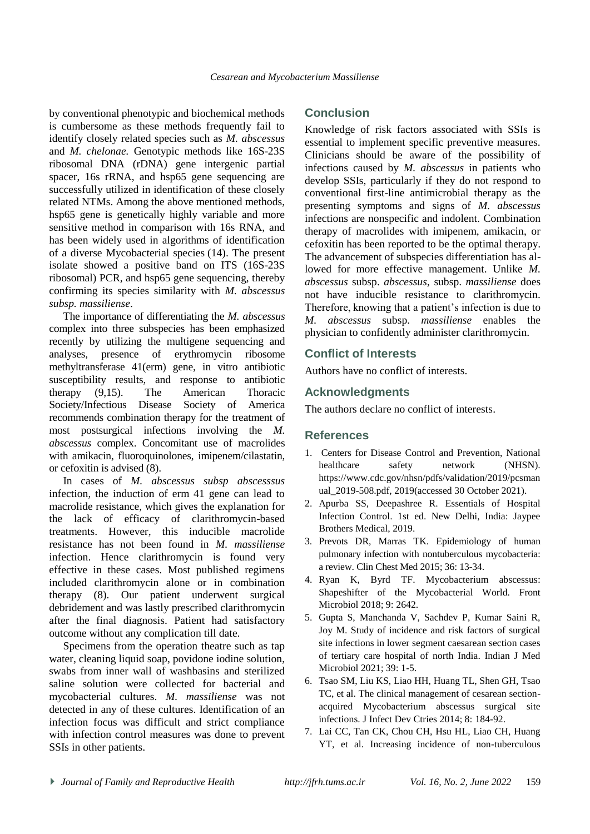by conventional phenotypic and biochemical methods is cumbersome as these methods frequently fail to identify closely related species such as *M. abscessus*  and *M. chelonae.* Genotypic methods like 16S-23S ribosomal DNA (rDNA) gene intergenic partial spacer, 16s rRNA, and hsp65 gene sequencing are successfully utilized in identification of these closely related NTMs. Among the above mentioned methods, hsp65 gene is genetically highly variable and more sensitive method in comparison with 16s RNA, and has been widely used in algorithms of identification of a diverse Mycobacterial species (14). The present isolate showed a positive band on ITS (16S-23S ribosomal) PCR, and hsp65 gene sequencing, thereby confirming its species similarity with *M. abscessus subsp. massiliense*.

The importance of differentiating the *M. abscessus* complex into three subspecies has been emphasized recently by utilizing the multigene sequencing and analyses, presence of erythromycin ribosome methyltransferase 41(erm) gene, in vitro antibiotic susceptibility results, and response to antibiotic therapy (9,15). The American Thoracic Society/Infectious Disease Society of America recommends combination therapy for the treatment of most postsurgical infections involving the *M. abscessus* complex. Concomitant use of macrolides with amikacin, fluoroquinolones, imipenem/cilastatin, or cefoxitin is advised (8).

In cases of *M. abscessus subsp abscesssus*  infection, the induction of erm 41 gene can lead to macrolide resistance, which gives the explanation for the lack of efficacy of clarithromycin-based treatments. However, this inducible macrolide resistance has not been found in *M. massiliense*  infection. Hence clarithromycin is found very effective in these cases. Most published regimens included clarithromycin alone or in combination therapy (8). Our patient underwent surgical debridement and was lastly prescribed clarithromycin after the final diagnosis. Patient had satisfactory outcome without any complication till date.

Specimens from the operation theatre such as tap water, cleaning liquid soap, povidone iodine solution, swabs from inner wall of washbasins and sterilized saline solution were collected for bacterial and mycobacterial cultures. *M. massiliense* was not detected in any of these cultures. Identification of an infection focus was difficult and strict compliance with infection control measures was done to prevent SSIs in other patients.

### **Conclusion**

Knowledge of risk factors associated with SSIs is essential to implement specific preventive measures. Clinicians should be aware of the possibility of infections caused by *M. abscessus* in patients who develop SSIs, particularly if they do not respond to conventional first-line antimicrobial therapy as the presenting symptoms and signs of *M. abscessus*  infections are nonspecific and indolent. Combination therapy of macrolides with imipenem, amikacin, or cefoxitin has been reported to be the optimal therapy. The advancement of subspecies differentiation has allowed for more effective management. Unlike *M. abscessus* subsp. *abscessus*, subsp. *massiliense* does not have inducible resistance to clarithromycin. Therefore, knowing that a patient's infection is due to *M. abscessus* subsp. *massiliense* enables the physician to confidently administer clarithromycin.

### **Conflict of Interests**

Authors have no conflict of interests.

### **Acknowledgments**

The authors declare no conflict of interests.

### **References**

- 1. Centers for Disease Control and Prevention, National healthcare safety network (NHSN). https://www.cdc.gov/nhsn/pdfs/validation/2019/pcsman ual\_2019-508.pdf, 2019(accessed 30 October 2021).
- 2. Apurba SS, Deepashree R. Essentials of Hospital Infection Control. 1st ed. New Delhi, India: Jaypee Brothers Medical, 2019.
- 3. Prevots DR, Marras TK. Epidemiology of human pulmonary infection with nontuberculous mycobacteria: a review. Clin Chest Med 2015; 36: 13-34.
- 4. Ryan K, Byrd TF. Mycobacterium abscessus: Shapeshifter of the Mycobacterial World. Front Microbiol 2018; 9: 2642.
- 5. Gupta S, Manchanda V, Sachdev P, Kumar Saini R, Joy M. Study of incidence and risk factors of surgical site infections in lower segment caesarean section cases of tertiary care hospital of north India. Indian J Med Microbiol 2021; 39: 1-5.
- 6. Tsao SM, Liu KS, Liao HH, Huang TL, Shen GH, Tsao TC, et al. The clinical management of cesarean sectionacquired Mycobacterium abscessus surgical site infections. J Infect Dev Ctries 2014; 8: 184-92.
- 7. Lai CC, Tan CK, Chou CH, Hsu HL, Liao CH, Huang YT, et al. Increasing incidence of non-tuberculous